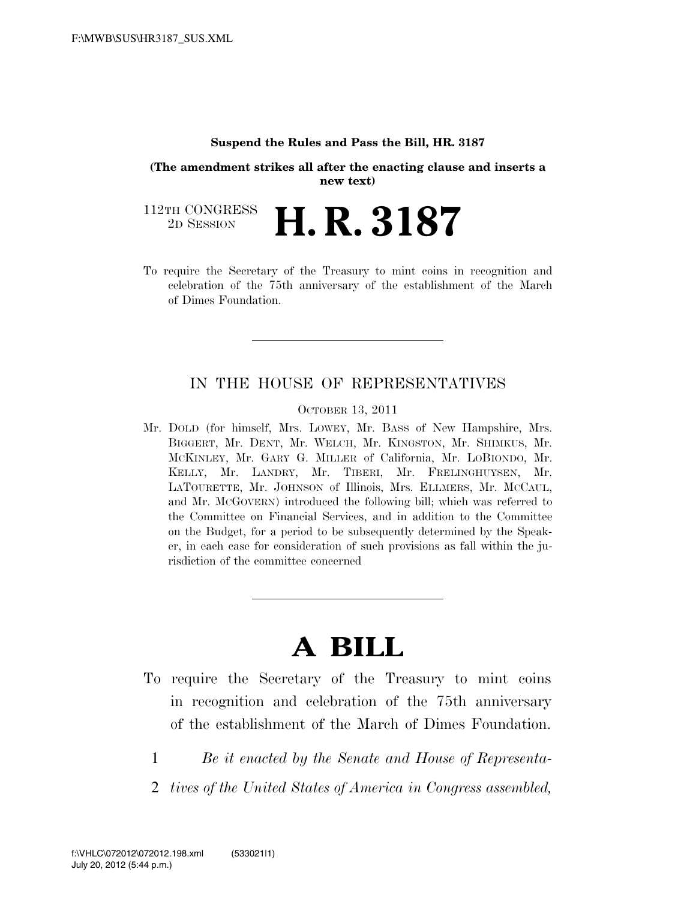#### **Suspend the Rules and Pass the Bill, HR. 3187**

**(The amendment strikes all after the enacting clause and inserts a new text)**

112TH CONGRESS<br>2D SESSION 2D SESSION **H. R. 3187**

To require the Secretary of the Treasury to mint coins in recognition and celebration of the 75th anniversary of the establishment of the March of Dimes Foundation.

#### IN THE HOUSE OF REPRESENTATIVES

OCTOBER 13, 2011

Mr. DOLD (for himself, Mrs. LOWEY, Mr. BASS of New Hampshire, Mrs. BIGGERT, Mr. DENT, Mr. WELCH, Mr. KINGSTON, Mr. SHIMKUS, Mr. MCKINLEY, Mr. GARY G. MILLER of California, Mr. LOBIONDO, Mr. KELLY, Mr. LANDRY, Mr. TIBERI, Mr. FRELINGHUYSEN, Mr. LATOURETTE, Mr. JOHNSON of Illinois, Mrs. ELLMERS, Mr. MCCAUL, and Mr. MCGOVERN) introduced the following bill; which was referred to the Committee on Financial Services, and in addition to the Committee on the Budget, for a period to be subsequently determined by the Speaker, in each case for consideration of such provisions as fall within the jurisdiction of the committee concerned

# **A BILL**

- To require the Secretary of the Treasury to mint coins in recognition and celebration of the 75th anniversary of the establishment of the March of Dimes Foundation.
	- 1 *Be it enacted by the Senate and House of Representa-*
	- 2 *tives of the United States of America in Congress assembled,*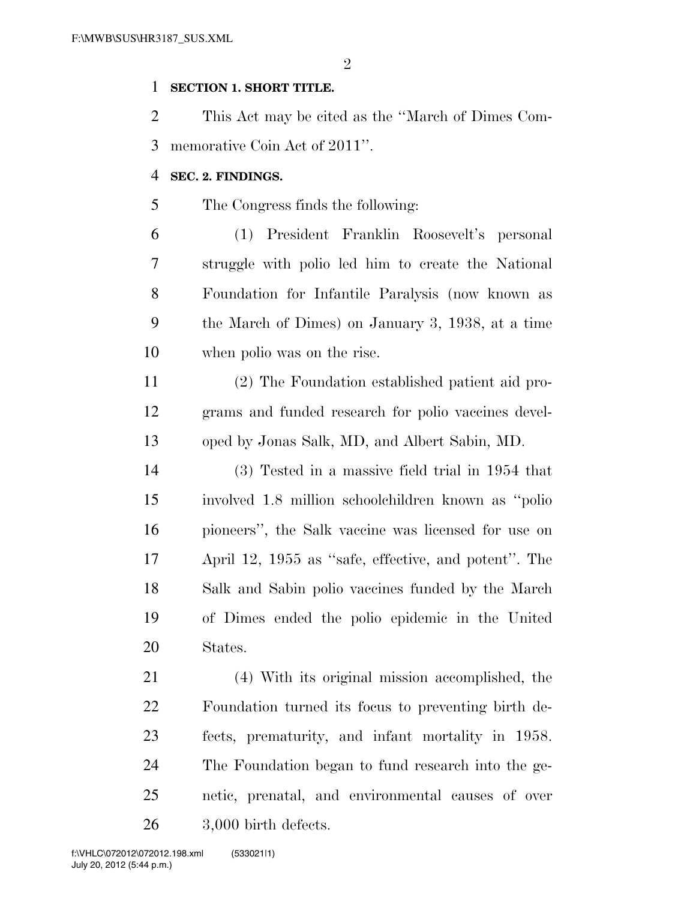#### **SECTION 1. SHORT TITLE.**

 This Act may be cited as the ''March of Dimes Com-memorative Coin Act of 2011''.

#### **SEC. 2. FINDINGS.**

The Congress finds the following:

 (1) President Franklin Roosevelt's personal struggle with polio led him to create the National Foundation for Infantile Paralysis (now known as the March of Dimes) on January 3, 1938, at a time when polio was on the rise.

 (2) The Foundation established patient aid pro- grams and funded research for polio vaccines devel-oped by Jonas Salk, MD, and Albert Sabin, MD.

 (3) Tested in a massive field trial in 1954 that involved 1.8 million schoolchildren known as ''polio pioneers'', the Salk vaccine was licensed for use on April 12, 1955 as ''safe, effective, and potent''. The Salk and Sabin polio vaccines funded by the March of Dimes ended the polio epidemic in the United States.

 (4) With its original mission accomplished, the Foundation turned its focus to preventing birth de- fects, prematurity, and infant mortality in 1958. The Foundation began to fund research into the ge- netic, prenatal, and environmental causes of over 3,000 birth defects.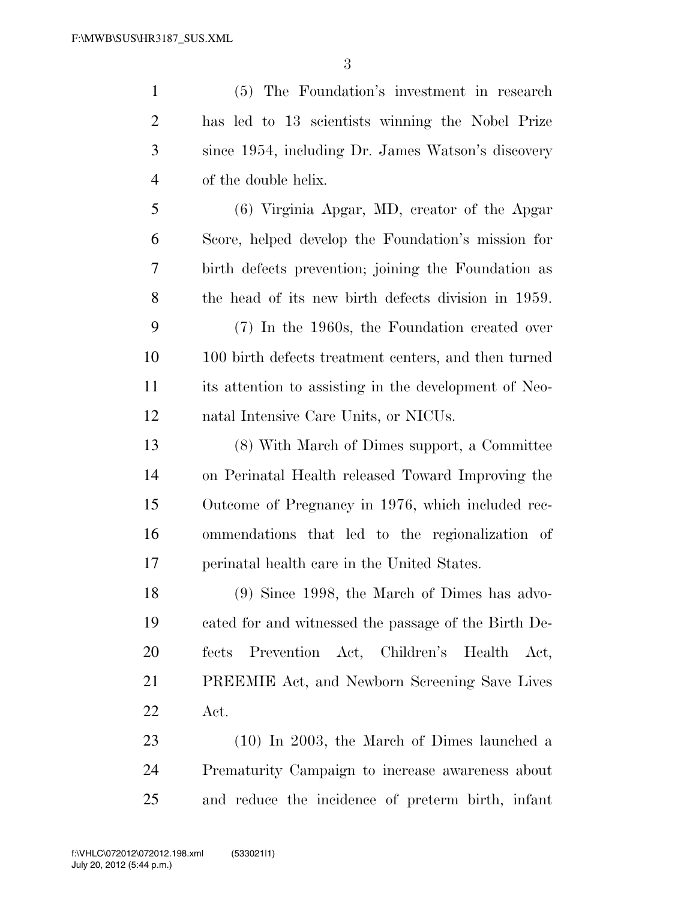(5) The Foundation's investment in research has led to 13 scientists winning the Nobel Prize since 1954, including Dr. James Watson's discovery of the double helix. (6) Virginia Apgar, MD, creator of the Apgar Score, helped develop the Foundation's mission for birth defects prevention; joining the Foundation as the head of its new birth defects division in 1959.

 (7) In the 1960s, the Foundation created over 100 birth defects treatment centers, and then turned its attention to assisting in the development of Neo-natal Intensive Care Units, or NICUs.

 (8) With March of Dimes support, a Committee on Perinatal Health released Toward Improving the Outcome of Pregnancy in 1976, which included rec- ommendations that led to the regionalization of perinatal health care in the United States.

 (9) Since 1998, the March of Dimes has advo- cated for and witnessed the passage of the Birth De- fects Prevention Act, Children's Health Act, PREEMIE Act, and Newborn Screening Save Lives Act.

 (10) In 2003, the March of Dimes launched a Prematurity Campaign to increase awareness about and reduce the incidence of preterm birth, infant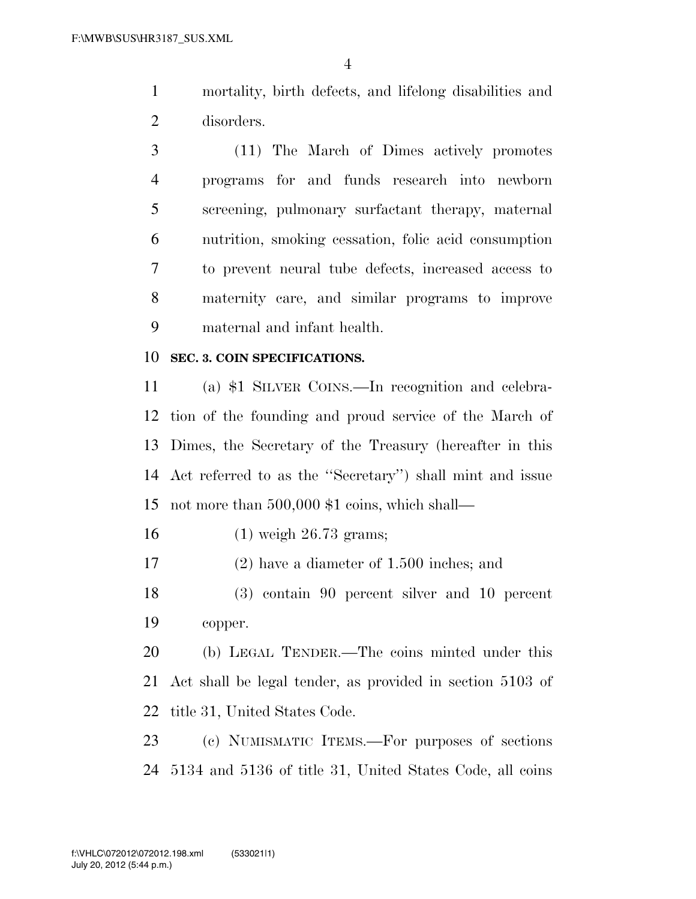mortality, birth defects, and lifelong disabilities and disorders.

 (11) The March of Dimes actively promotes programs for and funds research into newborn screening, pulmonary surfactant therapy, maternal nutrition, smoking cessation, folic acid consumption to prevent neural tube defects, increased access to maternity care, and similar programs to improve maternal and infant health.

#### **SEC. 3. COIN SPECIFICATIONS.**

 (a) \$1 SILVER COINS.—In recognition and celebra- tion of the founding and proud service of the March of Dimes, the Secretary of the Treasury (hereafter in this Act referred to as the ''Secretary'') shall mint and issue not more than 500,000 \$1 coins, which shall—

(1) weigh 26.73 grams;

(2) have a diameter of 1.500 inches; and

 (3) contain 90 percent silver and 10 percent copper.

 (b) LEGAL TENDER.—The coins minted under this Act shall be legal tender, as provided in section 5103 of title 31, United States Code.

 (c) NUMISMATIC ITEMS.—For purposes of sections 5134 and 5136 of title 31, United States Code, all coins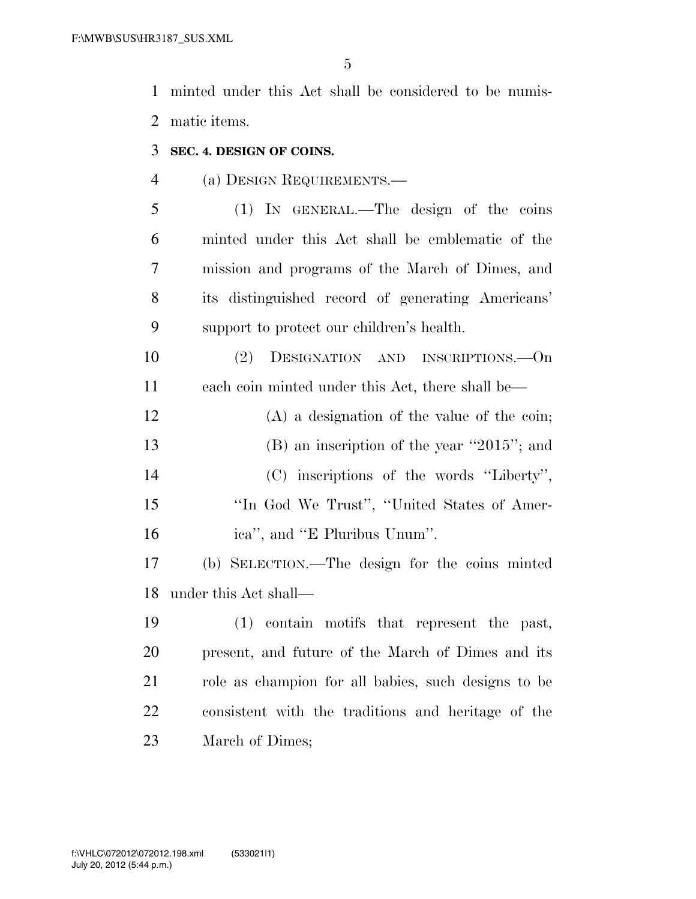minted under this Act shall be considered to be numis-matic items.

**SEC. 4. DESIGN OF COINS.** 

#### (a) DESIGN REQUIREMENTS.—

 (1) IN GENERAL.—The design of the coins minted under this Act shall be emblematic of the mission and programs of the March of Dimes, and its distinguished record of generating Americans' support to protect our children's health.

 (2) DESIGNATION AND INSCRIPTIONS.—On each coin minted under this Act, there shall be—

 (A) a designation of the value of the coin; 13 (B) an inscription of the year "2015"; and (C) inscriptions of the words ''Liberty'', ''In God We Trust'', ''United States of Amer-ica'', and ''E Pluribus Unum''.

 (b) SELECTION.—The design for the coins minted under this Act shall—

 (1) contain motifs that represent the past, present, and future of the March of Dimes and its role as champion for all babies, such designs to be consistent with the traditions and heritage of the March of Dimes;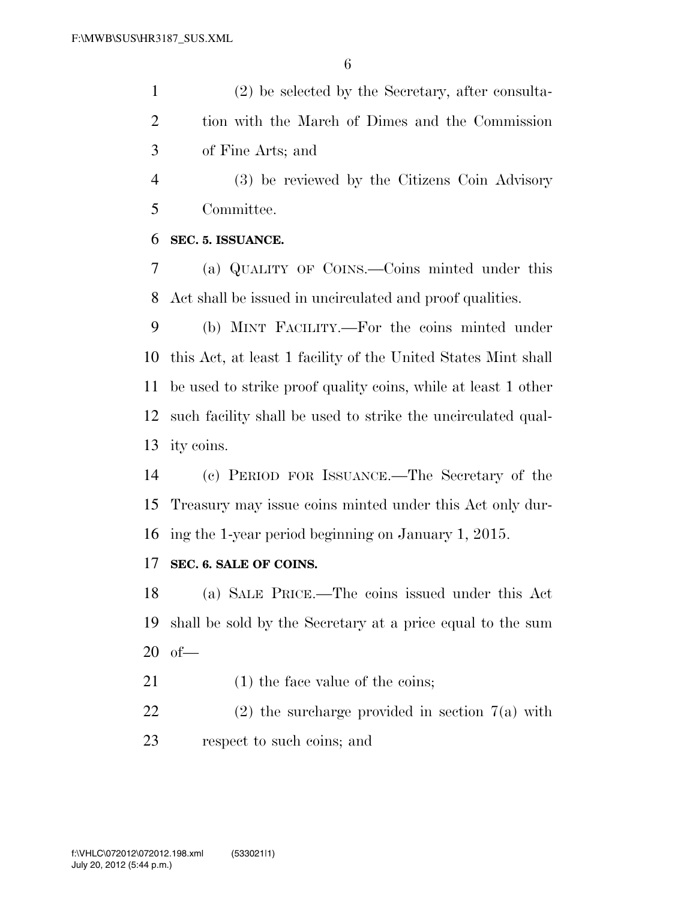(2) be selected by the Secretary, after consulta- tion with the March of Dimes and the Commission of Fine Arts; and

 (3) be reviewed by the Citizens Coin Advisory Committee.

#### **SEC. 5. ISSUANCE.**

 (a) QUALITY OF COINS.—Coins minted under this Act shall be issued in uncirculated and proof qualities.

 (b) MINT FACILITY.—For the coins minted under this Act, at least 1 facility of the United States Mint shall be used to strike proof quality coins, while at least 1 other such facility shall be used to strike the uncirculated qual-ity coins.

 (c) PERIOD FOR ISSUANCE.—The Secretary of the Treasury may issue coins minted under this Act only dur-ing the 1-year period beginning on January 1, 2015.

### **SEC. 6. SALE OF COINS.**

 (a) SALE PRICE.—The coins issued under this Act shall be sold by the Secretary at a price equal to the sum of—

21 (1) the face value of the coins;

 (2) the surcharge provided in section 7(a) with respect to such coins; and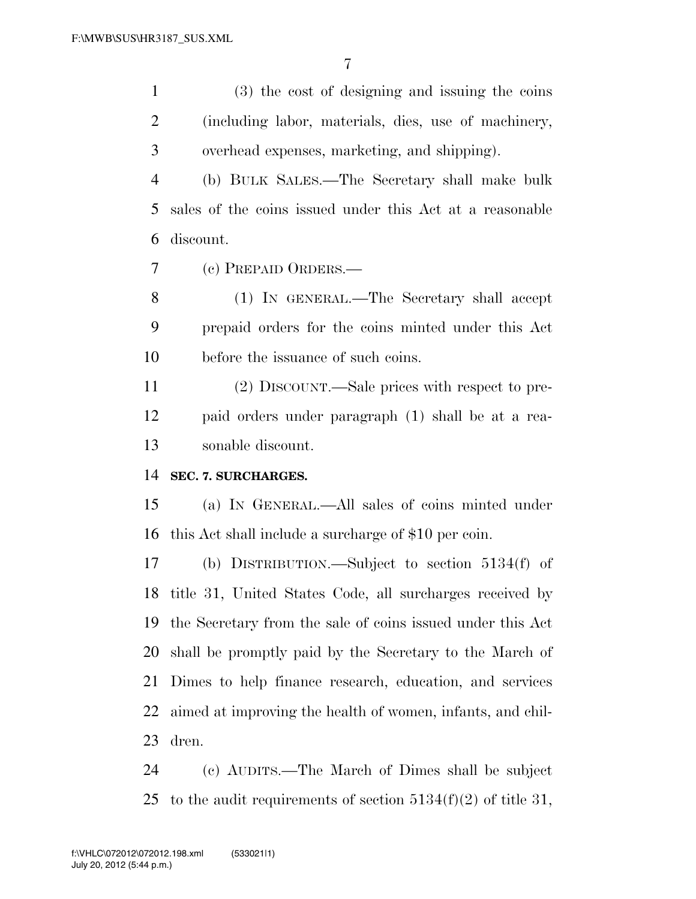(3) the cost of designing and issuing the coins (including labor, materials, dies, use of machinery, overhead expenses, marketing, and shipping).

 (b) BULK SALES.—The Secretary shall make bulk sales of the coins issued under this Act at a reasonable discount.

(c) PREPAID ORDERS.—

 (1) IN GENERAL.—The Secretary shall accept prepaid orders for the coins minted under this Act before the issuance of such coins.

 (2) DISCOUNT.—Sale prices with respect to pre- paid orders under paragraph (1) shall be at a rea-sonable discount.

#### **SEC. 7. SURCHARGES.**

 (a) IN GENERAL.—All sales of coins minted under this Act shall include a surcharge of \$10 per coin.

 (b) DISTRIBUTION.—Subject to section 5134(f) of title 31, United States Code, all surcharges received by the Secretary from the sale of coins issued under this Act shall be promptly paid by the Secretary to the March of Dimes to help finance research, education, and services aimed at improving the health of women, infants, and chil-dren.

 (c) AUDITS.—The March of Dimes shall be subject 25 to the audit requirements of section  $5134(f)(2)$  of title 31,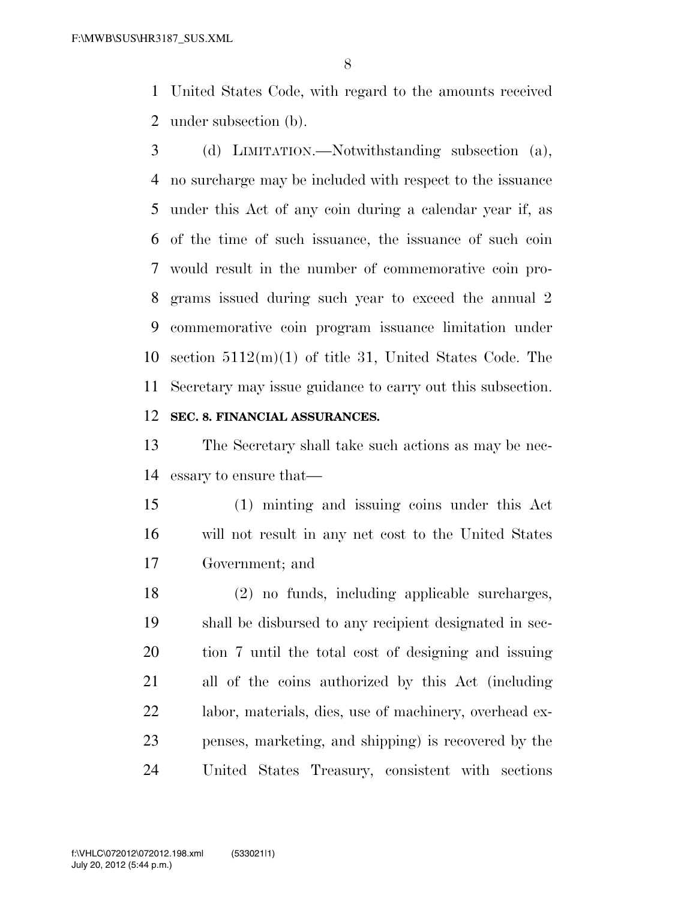United States Code, with regard to the amounts received under subsection (b).

 (d) LIMITATION.—Notwithstanding subsection (a), no surcharge may be included with respect to the issuance under this Act of any coin during a calendar year if, as of the time of such issuance, the issuance of such coin would result in the number of commemorative coin pro- grams issued during such year to exceed the annual 2 commemorative coin program issuance limitation under section 5112(m)(1) of title 31, United States Code. The Secretary may issue guidance to carry out this subsection. **SEC. 8. FINANCIAL ASSURANCES.** 

 The Secretary shall take such actions as may be nec-essary to ensure that—

- (1) minting and issuing coins under this Act will not result in any net cost to the United States Government; and
- (2) no funds, including applicable surcharges, shall be disbursed to any recipient designated in sec- tion 7 until the total cost of designing and issuing all of the coins authorized by this Act (including labor, materials, dies, use of machinery, overhead ex- penses, marketing, and shipping) is recovered by the United States Treasury, consistent with sections